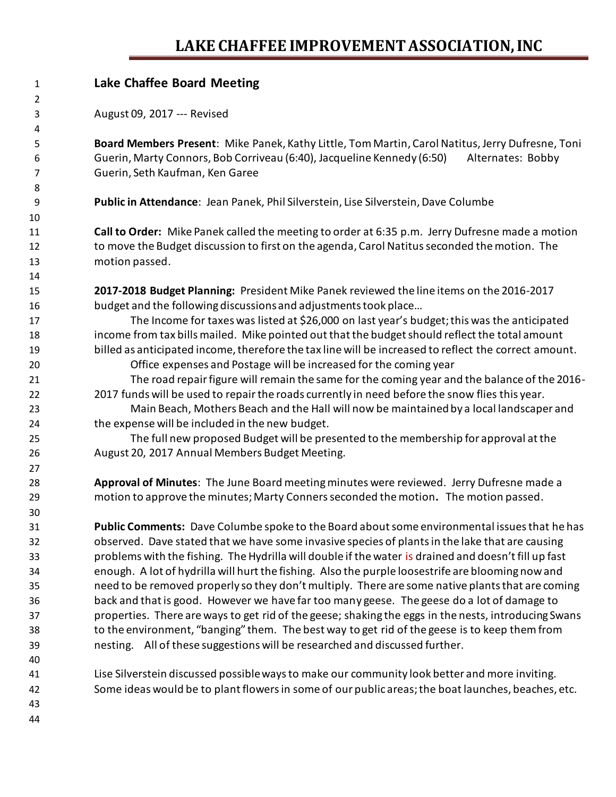# **LAKE CHAFFEE IMPROVEMENT ASSOCIATION, INC**

| $\mathbf{1}$   | Lake Chaffee Board Meeting                                                                            |
|----------------|-------------------------------------------------------------------------------------------------------|
| $\overline{2}$ |                                                                                                       |
| 3              | August 09, 2017 --- Revised                                                                           |
| 4              |                                                                                                       |
| 5              | Board Members Present: Mike Panek, Kathy Little, Tom Martin, Carol Natitus, Jerry Dufresne, Toni      |
| 6              | Guerin, Marty Connors, Bob Corriveau (6:40), Jacqueline Kennedy (6:50)<br>Alternates: Bobby           |
| 7              | Guerin, Seth Kaufman, Ken Garee                                                                       |
| 8              |                                                                                                       |
| 9              | Public in Attendance: Jean Panek, Phil Silverstein, Lise Silverstein, Dave Columbe                    |
| 10             |                                                                                                       |
| 11             | Call to Order: Mike Panek called the meeting to order at 6:35 p.m. Jerry Dufresne made a motion       |
| 12             | to move the Budget discussion to first on the agenda, Carol Natitus seconded the motion. The          |
| 13             | motion passed.                                                                                        |
| 14             |                                                                                                       |
| 15             | 2017-2018 Budget Planning: President Mike Panek reviewed the line items on the 2016-2017              |
| 16             | budget and the following discussions and adjustments took place                                       |
| 17             | The Income for taxes was listed at \$26,000 on last year's budget; this was the anticipated           |
| 18             | income from tax bills mailed. Mike pointed out that the budget should reflect the total amount        |
| 19             | billed as anticipated income, therefore the tax line will be increased to reflect the correct amount. |
| 20             | Office expenses and Postage will be increased for the coming year                                     |
| 21             | The road repair figure will remain the same for the coming year and the balance of the 2016-          |
| 22             | 2017 funds will be used to repair the roads currently in need before the snow flies this year.        |
| 23             | Main Beach, Mothers Beach and the Hall will now be maintained by a local landscaper and               |
| 24             | the expense will be included in the new budget.                                                       |
| 25             | The full new proposed Budget will be presented to the membership for approval at the                  |
| 26             | August 20, 2017 Annual Members Budget Meeting.                                                        |
| 27             |                                                                                                       |
| 28             | Approval of Minutes: The June Board meeting minutes were reviewed. Jerry Dufresne made a              |
| 29             | motion to approve the minutes; Marty Conners seconded the motion. The motion passed.                  |
| 30             |                                                                                                       |
| 31             | Public Comments: Dave Columbe spoke to the Board about some environmental issues that he has          |
| 32             | observed. Dave stated that we have some invasive species of plants in the lake that are causing       |
| 33             | problems with the fishing. The Hydrilla will double if the water is drained and doesn't fill up fast  |
| 34             | enough. A lot of hydrilla will hurt the fishing. Also the purple loosestrife are blooming now and     |
| 35             | need to be removed properly so they don't multiply. There are some native plants that are coming      |
| 36             | back and that is good. However we have far too many geese. The geese do a lot of damage to            |
| 37             | properties. There are ways to get rid of the geese; shaking the eggs in the nests, introducing Swans  |
| 38             | to the environment, "banging" them. The best way to get rid of the geese is to keep them from         |
| 39             | nesting. All of these suggestions will be researched and discussed further.                           |
| 40             |                                                                                                       |
| 41             | Lise Silverstein discussed possible ways to make our community look better and more inviting.         |
| 42             | Some ideas would be to plant flowers in some of our public areas; the boat launches, beaches, etc.    |
| 43             |                                                                                                       |
| 44             |                                                                                                       |
|                |                                                                                                       |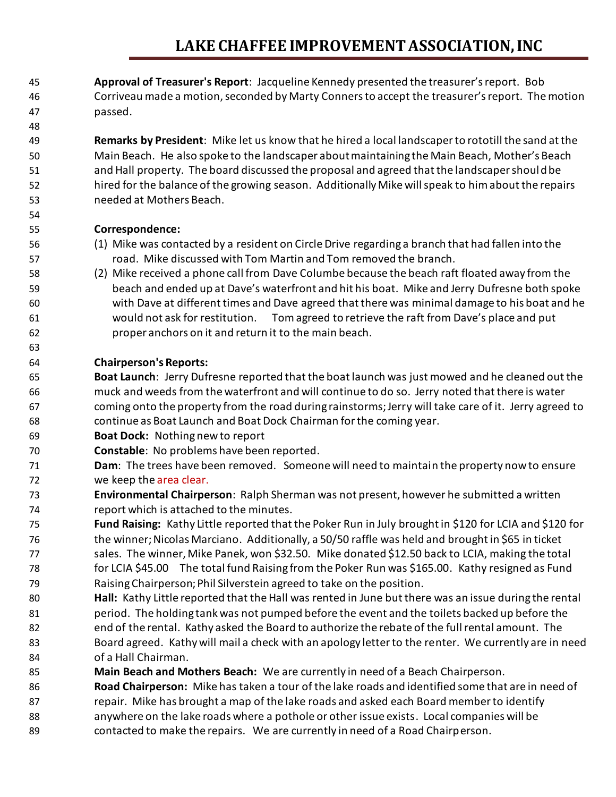### **LAKE CHAFFEE IMPROVEMENT ASSOCIATION, INC**

 **Approval of Treasurer's Report**: Jacqueline Kennedy presented the treasurer's report. Bob Corriveau made a motion, seconded by Marty Conners to accept the treasurer's report. The motion passed.

 **Remarks by President**: Mike let us know that he hired a local landscaper to rototill the sand at the Main Beach. He also spoke to the landscaper about maintaining the Main Beach, Mother's Beach and Hall property. The board discussed the proposal and agreed that the landscaper should be hired for the balance of the growing season. Additionally Mike will speak to him about the repairs needed at Mothers Beach.

#### **Correspondence:**

- (1) Mike was contacted by a resident on Circle Drive regarding a branch that had fallen into the road. Mike discussed with Tom Martin and Tom removed the branch.
- (2) Mike received a phone call from Dave Columbe because the beach raft floated away from the beach and ended up at Dave's waterfront and hit his boat. Mike and Jerry Dufresne both spoke with Dave at different times and Dave agreed that there was minimal damage to his boat and he would not ask for restitution. Tom agreed to retrieve the raft from Dave's place and put proper anchors on it and return it to the main beach.

### **Chairperson's Reports:**

- **Boat Launch**: Jerry Dufresne reported that the boat launch was just mowed and he cleaned out the muck and weeds from the waterfront and will continue to do so. Jerry noted that there is water coming onto the property from the road during rainstorms; Jerry will take care of it. Jerry agreed to continue as Boat Launch and Boat Dock Chairman for the coming year.
- **Boat Dock:** Nothing new to report
- **Constable**: No problems have been reported.
- **Dam**: The trees have been removed. Someone will need to maintain the property now to ensure we keep the area clear.
- **Environmental Chairperson**: Ralph Sherman was not present, however he submitted a written report which is attached to the minutes.
- **Fund Raising:** Kathy Little reported that the Poker Run in July brought in \$120 for LCIA and \$120 for the winner; Nicolas Marciano. Additionally, a 50/50 raffle was held and brought in \$65 in ticket sales. The winner, Mike Panek, won \$32.50. Mike donated \$12.50 back to LCIA, making the total for LCIA \$45.00 The total fund Raising from the Poker Run was \$165.00. Kathy resigned as Fund Raising Chairperson; Phil Silverstein agreed to take on the position.
- **Hall:** Kathy Little reported that the Hall was rented in June but there was an issue during the rental period. The holding tank was not pumped before the event and the toilets backed up before the end of the rental. Kathy asked the Board to authorize the rebate of the full rental amount. The Board agreed. Kathy will mail a check with an apology letter to the renter. We currently are in need of a Hall Chairman.
- **Main Beach and Mothers Beach:** We are currently in need of a Beach Chairperson.
- **Road Chairperson:** Mike has taken a tour of the lake roads and identified some that are in need of repair. Mike has brought a map of the lake roads and asked each Board member to identify anywhere on the lake roads where a pothole or other issue exists. Local companies will be contacted to make the repairs. We are currently in need of a Road Chairperson.